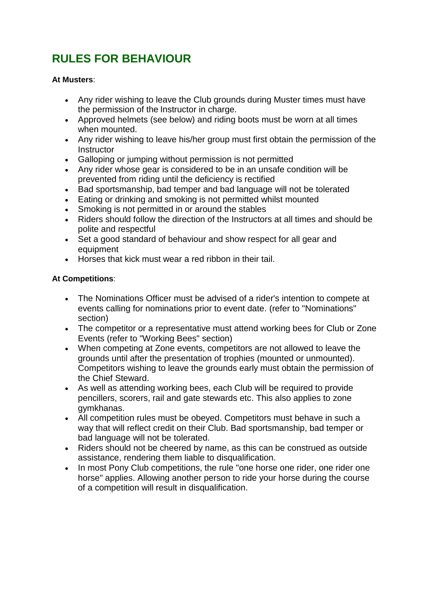# **RULES FOR BEHAVIOUR**

#### **At Musters**:

- Any rider wishing to leave the Club grounds during Muster times must have the permission of the Instructor in charge.
- Approved helmets (see below) and riding boots must be worn at all times when mounted.
- Any rider wishing to leave his/her group must first obtain the permission of the **Instructor**
- Galloping or jumping without permission is not permitted
- Any rider whose gear is considered to be in an unsafe condition will be prevented from riding until the deficiency is rectified
- Bad sportsmanship, bad temper and bad language will not be tolerated
- Eating or drinking and smoking is not permitted whilst mounted
- Smoking is not permitted in or around the stables
- Riders should follow the direction of the Instructors at all times and should be polite and respectful
- Set a good standard of behaviour and show respect for all gear and equipment
- Horses that kick must wear a red ribbon in their tail.

#### **At Competitions**:

- The Nominations Officer must be advised of a rider's intention to compete at events calling for nominations prior to event date. (refer to "Nominations" section)
- The competitor or a representative must attend working bees for Club or Zone Events (refer to "Working Bees" section)
- When competing at Zone events, competitors are not allowed to leave the grounds until after the presentation of trophies (mounted or unmounted). Competitors wishing to leave the grounds early must obtain the permission of the Chief Steward.
- As well as attending working bees, each Club will be required to provide pencillers, scorers, rail and gate stewards etc. This also applies to zone gymkhanas.
- All competition rules must be obeyed. Competitors must behave in such a way that will reflect credit on their Club. Bad sportsmanship, bad temper or bad language will not be tolerated.
- Riders should not be cheered by name, as this can be construed as outside assistance, rendering them liable to disqualification.
- In most Pony Club competitions, the rule "one horse one rider, one rider one horse" applies. Allowing another person to ride your horse during the course of a competition will result in disqualification.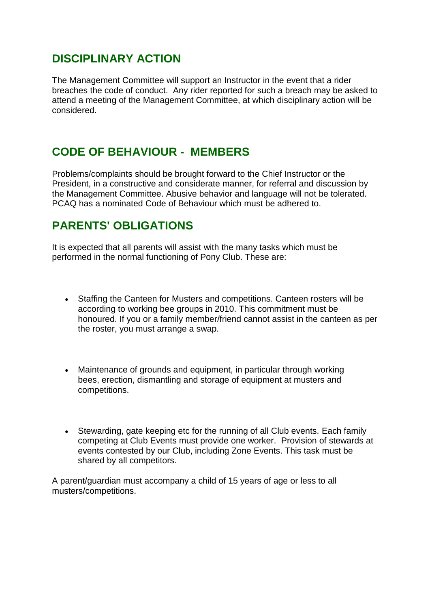### **DISCIPLINARY ACTION**

The Management Committee will support an Instructor in the event that a rider breaches the code of conduct. Any rider reported for such a breach may be asked to attend a meeting of the Management Committee, at which disciplinary action will be considered.

#### **CODE OF BEHAVIOUR - MEMBERS**

Problems/complaints should be brought forward to the Chief Instructor or the President, in a constructive and considerate manner, for referral and discussion by the Management Committee. Abusive behavior and language will not be tolerated. PCAQ has a nominated Code of Behaviour which must be adhered to.

## **PARENTS' OBLIGATIONS**

It is expected that all parents will assist with the many tasks which must be performed in the normal functioning of Pony Club. These are:

- Staffing the Canteen for Musters and competitions. Canteen rosters will be according to working bee groups in 2010. This commitment must be honoured. If you or a family member/friend cannot assist in the canteen as per the roster, you must arrange a swap.
- Maintenance of grounds and equipment, in particular through working bees, erection, dismantling and storage of equipment at musters and competitions.
- Stewarding, gate keeping etc for the running of all Club events. Each family competing at Club Events must provide one worker. Provision of stewards at events contested by our Club, including Zone Events. This task must be shared by all competitors.

A parent/guardian must accompany a child of 15 years of age or less to all musters/competitions.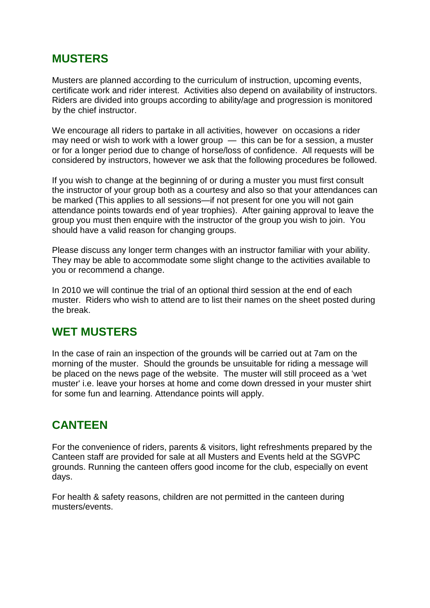#### **MUSTERS**

Musters are planned according to the curriculum of instruction, upcoming events, certificate work and rider interest. Activities also depend on availability of instructors. Riders are divided into groups according to ability/age and progression is monitored by the chief instructor.

We encourage all riders to partake in all activities, however on occasions a rider may need or wish to work with a lower group — this can be for a session, a muster or for a longer period due to change of horse/loss of confidence. All requests will be considered by instructors, however we ask that the following procedures be followed.

If you wish to change at the beginning of or during a muster you must first consult the instructor of your group both as a courtesy and also so that your attendances can be marked (This applies to all sessions—if not present for one you will not gain attendance points towards end of year trophies). After gaining approval to leave the group you must then enquire with the instructor of the group you wish to join. You should have a valid reason for changing groups.

Please discuss any longer term changes with an instructor familiar with your ability. They may be able to accommodate some slight change to the activities available to you or recommend a change.

In 2010 we will continue the trial of an optional third session at the end of each muster. Riders who wish to attend are to list their names on the sheet posted during the break.

### **WET MUSTERS**

In the case of rain an inspection of the grounds will be carried out at 7am on the morning of the muster. Should the grounds be unsuitable for riding a message will be placed on the news page of the website. The muster will still proceed as a 'wet muster' i.e. leave your horses at home and come down dressed in your muster shirt for some fun and learning. Attendance points will apply.

### **CANTEEN**

For the convenience of riders, parents & visitors, light refreshments prepared by the Canteen staff are provided for sale at all Musters and Events held at the SGVPC grounds. Running the canteen offers good income for the club, especially on event days.

For health & safety reasons, children are not permitted in the canteen during musters/events.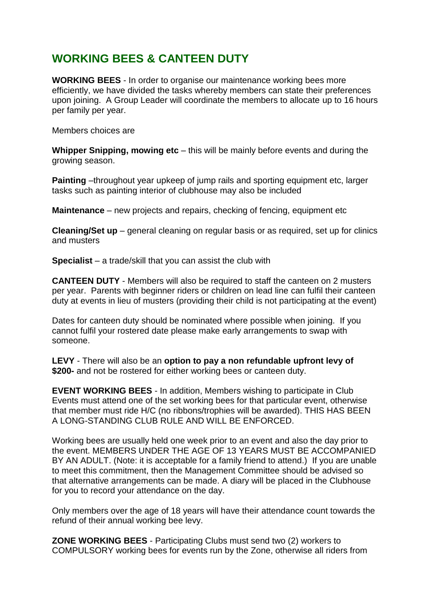### **WORKING BEES & CANTEEN DUTY**

**WORKING BEES** - In order to organise our maintenance working bees more efficiently, we have divided the tasks whereby members can state their preferences upon joining. A Group Leader will coordinate the members to allocate up to 16 hours per family per year.

Members choices are

**Whipper Snipping, mowing etc** – this will be mainly before events and during the growing season.

**Painting** –throughout year upkeep of jump rails and sporting equipment etc, larger tasks such as painting interior of clubhouse may also be included

**Maintenance** – new projects and repairs, checking of fencing, equipment etc

**Cleaning/Set up** – general cleaning on regular basis or as required, set up for clinics and musters

**Specialist** – a trade/skill that you can assist the club with

**CANTEEN DUTY** - Members will also be required to staff the canteen on 2 musters per year. Parents with beginner riders or children on lead line can fulfil their canteen duty at events in lieu of musters (providing their child is not participating at the event)

Dates for canteen duty should be nominated where possible when joining. If you cannot fulfil your rostered date please make early arrangements to swap with someone.

**LEVY** - There will also be an **option to pay a non refundable upfront levy of \$200-** and not be rostered for either working bees or canteen duty.

**EVENT WORKING BEES** - In addition, Members wishing to participate in Club Events must attend one of the set working bees for that particular event, otherwise that member must ride H/C (no ribbons/trophies will be awarded). THIS HAS BEEN A LONG-STANDING CLUB RULE AND WILL BE ENFORCED.

Working bees are usually held one week prior to an event and also the day prior to the event. MEMBERS UNDER THE AGE OF 13 YEARS MUST BE ACCOMPANIED BY AN ADULT. (Note: it is acceptable for a family friend to attend.) If you are unable to meet this commitment, then the Management Committee should be advised so that alternative arrangements can be made. A diary will be placed in the Clubhouse for you to record your attendance on the day.

Only members over the age of 18 years will have their attendance count towards the refund of their annual working bee levy.

**ZONE WORKING BEES** - Participating Clubs must send two (2) workers to COMPULSORY working bees for events run by the Zone, otherwise all riders from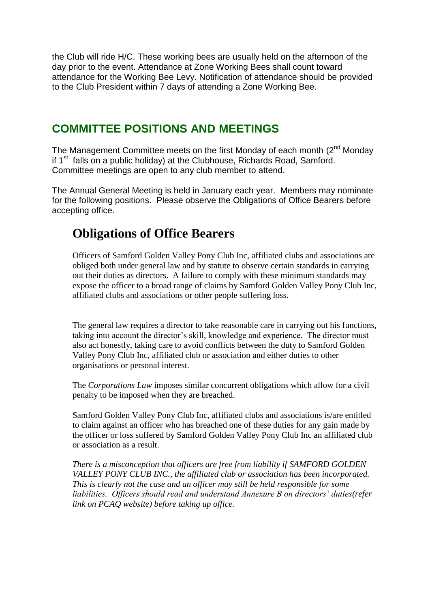the Club will ride H/C. These working bees are usually held on the afternoon of the day prior to the event. Attendance at Zone Working Bees shall count toward attendance for the Working Bee Levy. Notification of attendance should be provided to the Club President within 7 days of attending a Zone Working Bee.

#### **COMMITTEE POSITIONS AND MEETINGS**

The Management Committee meets on the first Monday of each month  $(2^{nd}$  Monday if 1<sup>st</sup> falls on a public holiday) at the Clubhouse, Richards Road, Samford. Committee meetings are open to any club member to attend.

The Annual General Meeting is held in January each year. Members may nominate for the following positions. Please observe the Obligations of Office Bearers before accepting office.

# **Obligations of Office Bearers**

Officers of Samford Golden Valley Pony Club Inc, affiliated clubs and associations are obliged both under general law and by statute to observe certain standards in carrying out their duties as directors. A failure to comply with these minimum standards may expose the officer to a broad range of claims by Samford Golden Valley Pony Club Inc, affiliated clubs and associations or other people suffering loss.

The general law requires a director to take reasonable care in carrying out his functions, taking into account the director's skill, knowledge and experience. The director must also act honestly, taking care to avoid conflicts between the duty to Samford Golden Valley Pony Club Inc, affiliated club or association and either duties to other organisations or personal interest.

The *Corporations Law* imposes similar concurrent obligations which allow for a civil penalty to be imposed when they are breached.

Samford Golden Valley Pony Club Inc, affiliated clubs and associations is/are entitled to claim against an officer who has breached one of these duties for any gain made by the officer or loss suffered by Samford Golden Valley Pony Club Inc an affiliated club or association as a result.

*There is a misconception that officers are free from liability if SAMFORD GOLDEN VALLEY PONY CLUB INC., the affiliated club or association has been incorporated. This is clearly not the case and an officer may still be held responsible for some liabilities. Officers should read and understand Annexure B on directors' duties(refer link on PCAQ website) before taking up office.*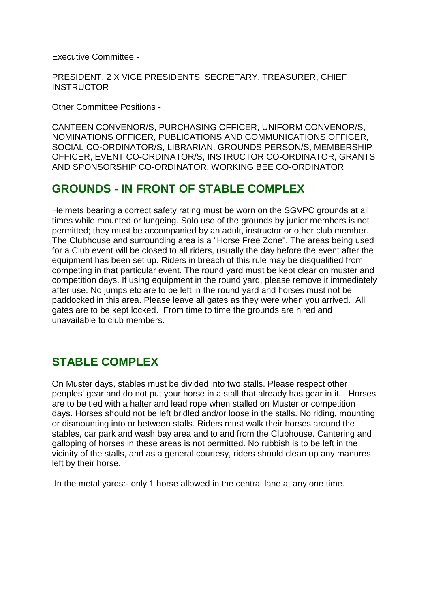Executive Committee -

PRESIDENT, 2 X VICE PRESIDENTS, SECRETARY, TREASURER, CHIEF **INSTRUCTOR** 

Other Committee Positions -

CANTEEN CONVENOR/S, PURCHASING OFFICER, UNIFORM CONVENOR/S, NOMINATIONS OFFICER, PUBLICATIONS AND COMMUNICATIONS OFFICER, SOCIAL CO-ORDINATOR/S, LIBRARIAN, GROUNDS PERSON/S, MEMBERSHIP OFFICER, EVENT CO-ORDINATOR/S, INSTRUCTOR CO-ORDINATOR, GRANTS AND SPONSORSHIP CO-ORDINATOR, WORKING BEE CO-ORDINATOR

#### **GROUNDS - IN FRONT OF STABLE COMPLEX**

Helmets bearing a correct safety rating must be worn on the SGVPC grounds at all times while mounted or lungeing. Solo use of the grounds by junior members is not permitted; they must be accompanied by an adult, instructor or other club member. The Clubhouse and surrounding area is a "Horse Free Zone". The areas being used for a Club event will be closed to all riders, usually the day before the event after the equipment has been set up. Riders in breach of this rule may be disqualified from competing in that particular event. The round yard must be kept clear on muster and competition days. If using equipment in the round yard, please remove it immediately after use. No jumps etc are to be left in the round yard and horses must not be paddocked in this area. Please leave all gates as they were when you arrived. All gates are to be kept locked. From time to time the grounds are hired and unavailable to club members.

### **STABLE COMPLEX**

On Muster days, stables must be divided into two stalls. Please respect other peoples' gear and do not put your horse in a stall that already has gear in it. Horses are to be tied with a halter and lead rope when stalled on Muster or competition days. Horses should not be left bridled and/or loose in the stalls. No riding, mounting or dismounting into or between stalls. Riders must walk their horses around the stables, car park and wash bay area and to and from the Clubhouse. Cantering and galloping of horses in these areas is not permitted. No rubbish is to be left in the vicinity of the stalls, and as a general courtesy, riders should clean up any manures left by their horse.

In the metal yards:- only 1 horse allowed in the central lane at any one time.